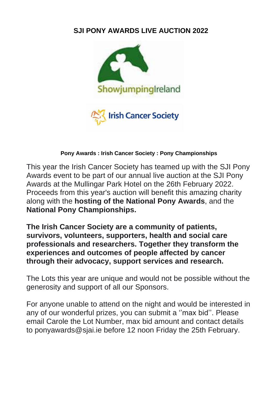# **SJI PONY AWARDS LIVE AUCTION 2022**



#### **Pony Awards : Irish Cancer Society : Pony Championships**

This year the Irish Cancer Society has teamed up with the SJI Pony Awards event to be part of our annual live auction at the SJI Pony Awards at the Mullingar Park Hotel on the 26th February 2022. Proceeds from this year's auction will benefit this amazing charity along with the **hosting of the National Pony Awards**, and the **National Pony Championships.** 

**The Irish Cancer Society are a community of patients, survivors, volunteers, supporters, health and social care professionals and researchers. Together they transform the experiences and outcomes of people affected by cancer through their advocacy, support services and research.**

The Lots this year are unique and would not be possible without the generosity and support of all our Sponsors.

For anyone unable to attend on the night and would be interested in any of our wonderful prizes, you can submit a ''max bid''. Please email Carole the Lot Number, max bid amount and contact details to ponyawards@sjai.ie before 12 noon Friday the 25th February.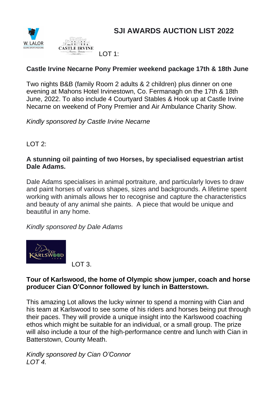





#### **Castle Irvine Necarne Pony Premier weekend package 17th & 18th June**

Two nights B&B (family Room 2 adults & 2 children) plus dinner on one evening at Mahons Hotel Irvinestown, Co. Fermanagh on the 17th & 18th June, 2022. To also include 4 Courtyard Stables & Hook up at Castle Irvine Necarne on weekend of Pony Premier and Air Ambulance Charity Show.

*Kindly sponsored by Castle Irvine Necarne*

LOT 2:

#### **A stunning oil painting of two Horses, by specialised equestrian artist Dale Adams.**

Dale Adams specialises in animal portraiture, and particularly loves to draw and paint horses of various shapes, sizes and backgrounds. A lifetime spent working with animals allows her to recognise and capture the characteristics and beauty of any animal she paints. A piece that would be unique and beautiful in any home.

*Kindly sponsored by Dale Adams*



LOT 3.

#### **Tour of Karlswood, the home of Olympic show jumper, coach and horse producer Cian O'Connor followed by lunch in Batterstown.**

This amazing Lot allows the lucky winner to spend a morning with Cian and his team at Karlswood to see some of his riders and horses being put through their paces. They will provide a unique insight into the Karlswood coaching ethos which might be suitable for an individual, or a small group. The prize will also include a tour of the high-performance centre and lunch with Cian in Batterstown, County Meath.

*Kindly sponsored by Cian O'Connor LOT 4.*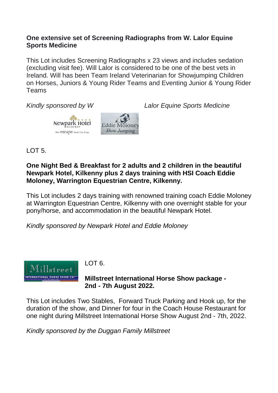#### **One extensive set of Screening Radiographs from W. Lalor Equine Sports Medicine**

This Lot includes Screening Radiographs x 23 views and includes sedation (excluding visit fee). Will Lalor is considered to be one of the best vets in Ireland. Will has been Team Ireland Veterinarian for Showjumping Children on Horses, Juniors & Young Rider Teams and Eventing Junior & Young Rider Teams

*Kindly sponsored by W Lalor Equine Sports Medicine*



LOT 5.

## **One Night Bed & Breakfast for 2 adults and 2 children in the beautiful Newpark Hotel, Kilkenny plus 2 days training with HSI Coach Eddie Moloney, Warrington Equestrian Centre, Kilkenny.**

This Lot includes 2 days training with renowned training coach Eddie Moloney at Warrington Equestrian Centre, Kilkenny with one overnight stable for your pony/horse, and accommodation in the beautiful Newpark Hotel.

*Kindly sponsored by Newpark Hotel and Eddie Moloney*



#### LOT 6.

## **Millstreet International Horse Show package - 2nd - 7th August 2022.**

This Lot includes Two Stables, Forward Truck Parking and Hook up, for the duration of the show, and Dinner for four in the Coach House Restaurant for one night during Millstreet International Horse Show August 2nd - 7th, 2022.

*Kindly sponsored by the Duggan Family Millstreet*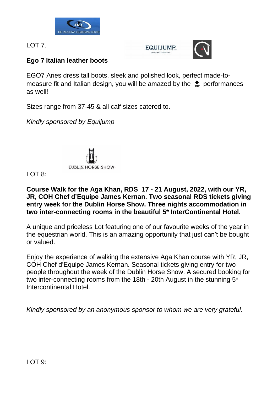

LOT 7.

**EQUIJUMP.** 



# **Ego 7 Italian leather boots**

EGO7 Aries dress tall boots, sleek and polished look, perfect made-tomeasure fit and Italian design, you will be amazed by the  $\frac{4}{50}$  performances as well!

Sizes range from 37-45 & all calf sizes catered to.

*Kindly sponsored by Equijump*



# $LOT$   $8$

#### **Course Walk for the Aga Khan, RDS 17 - 21 August, 2022, with our YR, JR, COH Chef d'Equipe James Kernan. Two seasonal RDS tickets giving entry week for the Dublin Horse Show. Three nights accommodation in two inter-connecting rooms in the beautiful 5\* InterContinental Hotel.**

A unique and priceless Lot featuring one of our favourite weeks of the year in the equestrian world. This is an amazing opportunity that just can't be bought or valued.

Enjoy the experience of walking the extensive Aga Khan course with YR, JR, COH Chef d'Equipe James Kernan. Seasonal tickets giving entry for two people throughout the week of the Dublin Horse Show. A secured booking for two inter-connecting rooms from the 18th - 20th August in the stunning 5\* Intercontinental Hotel.

*Kindly sponsored by an anonymous sponsor to whom we are very grateful.*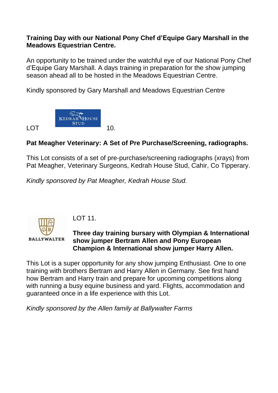#### **Training Day with our National Pony Chef d'Equipe Gary Marshall in the Meadows Equestrian Centre.**

An opportunity to be trained under the watchful eye of our National Pony Chef d'Equipe Gary Marshall. A days training in preparation for the show jumping season ahead all to be hosted in the Meadows Equestrian Centre.

Kindly sponsored by Gary Marshall and Meadows Equestrian Centre



# **Pat Meagher Veterinary: A Set of Pre Purchase/Screening, radiographs.**

This Lot consists of a set of pre-purchase/screening radiographs (xrays) from Pat Meagher, Veterinary Surgeons, Kedrah House Stud, Cahir, Co Tipperary.

*Kindly sponsored by Pat Meagher, Kedrah House Stud.*



LOT 11.

## **Three day training bursary with Olympian & International show jumper Bertram Allen and Pony European Champion & International show jumper Harry Allen.**

This Lot is a super opportunity for any show jumping Enthusiast. One to one training with brothers Bertram and Harry Allen in Germany. See first hand how Bertram and Harry train and prepare for upcoming competitions along with running a busy equine business and yard. Flights, accommodation and guaranteed once in a life experience with this Lot.

*Kindly sponsored by the Allen family at Ballywalter Farms*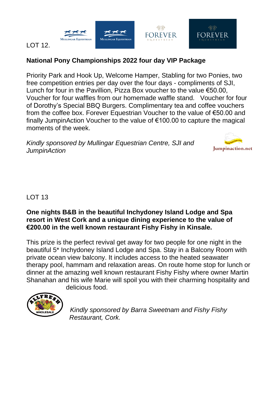



#### LOT 12.

# **National Pony Championships 2022 four day VIP Package**

Priority Park and Hook Up, Welcome Hamper, Stabling for two Ponies, two free competition entries per day over the four days - compliments of SJI, Lunch for four in the Pavillion, Pizza Box voucher to the value €50.00, Voucher for four waffles from our homemade waffle stand. Voucher for four of Dorothy's Special BBQ Burgers. Complimentary tea and coffee vouchers from the coffee box. Forever Equestrian Voucher to the value of €50.00 and finally JumpinAction Voucher to the value of €100.00 to capture the magical moments of the week.

*Kindly sponsored by Mullingar Equestrian Centre, SJI and JumpinAction*



 $\mathbb{G}$ 

**FOREVER** 

# LOT 13

#### **One nights B&B in the beautiful Inchydoney Island Lodge and Spa resort in West Cork and a unique dining experience to the value of €200.00 in the well known restaurant Fishy Fishy in Kinsale.**

This prize is the perfect revival get away for two people for one night in the beautiful 5\* Inchydoney Island Lodge and Spa. Stay in a Balcony Room with private ocean view balcony. It includes access to the heated seawater therapy pool, hammam and relaxation areas. On route home stop for lunch or dinner at the amazing well known restaurant Fishy Fishy where owner Martin Shanahan and his wife Marie will spoil you with their charming hospitality and delicious food.



*Kindly sponsored by Barra Sweetnam and Fishy Fishy Restaurant, Cork.*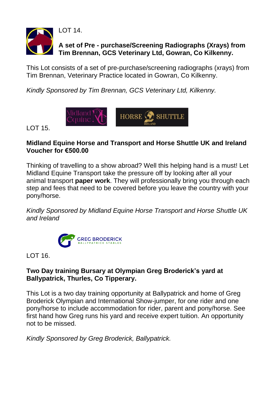

**A set of Pre - purchase/Screening Radiographs (Xrays) from Tim Brennan, GCS Veterinary Ltd, Gowran, Co Kilkenny.**

This Lot consists of a set of pre-purchase/screening radiographs (xrays) from Tim Brennan, Veterinary Practice located in Gowran, Co Kilkenny.

*Kindly Sponsored by Tim Brennan, GCS Veterinary Ltd, Kilkenny.*



LOT 15.

## **Midland Equine Horse and Transport and Horse Shuttle UK and Ireland Voucher for €500.00**

Thinking of travelling to a show abroad? Well this helping hand is a must! Let Midland Equine Transport take the pressure off by looking after all your animal transport **paper work**. They will professionally bring you through each step and fees that need to be covered before you leave the country with your pony/horse.

*Kindly Sponsored by Midland Equine Horse Transport and Horse Shuttle UK and Ireland*



LOT 16.

## **Two Day training Bursary at Olympian Greg Broderick's yard at Ballypatrick, Thurles, Co Tipperary.**

This Lot is a two day training opportunity at Ballypatrick and home of Greg Broderick Olympian and International Show-jumper, for one rider and one pony/horse to include accommodation for rider, parent and pony/horse. See first hand how Greg runs his yard and receive expert tuition. An opportunity not to be missed.

*Kindly Sponsored by Greg Broderick, Ballypatrick.*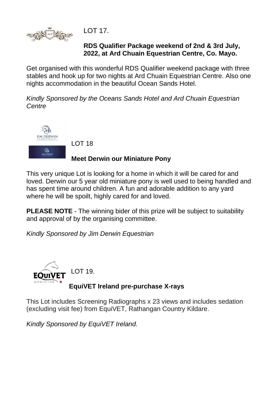

LOT 17.

## **RDS Qualifier Package weekend of 2nd & 3rd July, 2022, at Ard Chuain Equestrian Centre, Co. Mayo.**

Get organised with this wonderful RDS Qualifier weekend package with three stables and hook up for two nights at Ard Chuain Equestrian Centre. Also one nights accommodation in the beautiful Ocean Sands Hotel.

*Kindly Sponsored by the Oceans Sands Hotel and Ard Chuain Equestrian Centre*



LOT 18

## **Meet Derwin our Miniature Pony**

This very unique Lot is looking for a home in which it will be cared for and loved. Derwin our 5 year old miniature pony is well used to being handled and has spent time around children. A fun and adorable addition to any yard where he will be spoilt, highly cared for and loved.

**PLEASE NOTE** - The winning bider of this prize will be subject to suitability and approval of by the organising committee.

*Kindly Sponsored by Jim Derwin Equestrian*



# LOT 19.

# **EquiVET Ireland pre-purchase X-rays**

This Lot includes Screening Radiographs x 23 views and includes sedation (excluding visit fee) from EquiVET, Rathangan Country Kildare.

*Kindly Sponsored by EquiVET Ireland.*